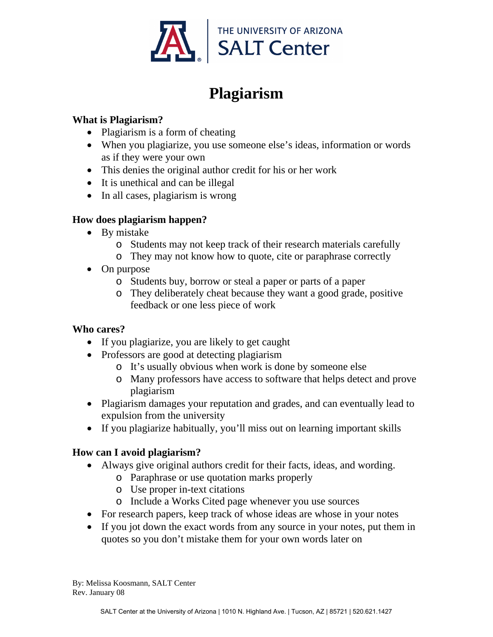

# **Plagiarism**

#### **What is Plagiarism?**

- Plagiarism is a form of cheating
- When you plagiarize, you use someone else's ideas, information or words as if they were your own
- This denies the original author credit for his or her work
- It is unethical and can be illegal
- In all cases, plagiarism is wrong

#### **How does plagiarism happen?**

- By mistake
	- o Students may not keep track of their research materials carefully
	- o They may not know how to quote, cite or paraphrase correctly
- On purpose
	- o Students buy, borrow or steal a paper or parts of a paper
	- o They deliberately cheat because they want a good grade, positive feedback or one less piece of work

#### **Who cares?**

- If you plagiarize, you are likely to get caught
- Professors are good at detecting plagiarism
	- o It's usually obvious when work is done by someone else
	- o Many professors have access to software that helps detect and prove plagiarism
- Plagiarism damages your reputation and grades, and can eventually lead to expulsion from the university
- If you plagiarize habitually, you'll miss out on learning important skills

### **How can I avoid plagiarism?**

- Always give original authors credit for their facts, ideas, and wording.
	- o Paraphrase or use quotation marks properly
	- o Use proper in-text citations
	- o Include a Works Cited page whenever you use sources
- For research papers, keep track of whose ideas are whose in your notes
- If you jot down the exact words from any source in your notes, put them in quotes so you don't mistake them for your own words later on

By: Melissa Koosmann, SALT Center Rev. January 08